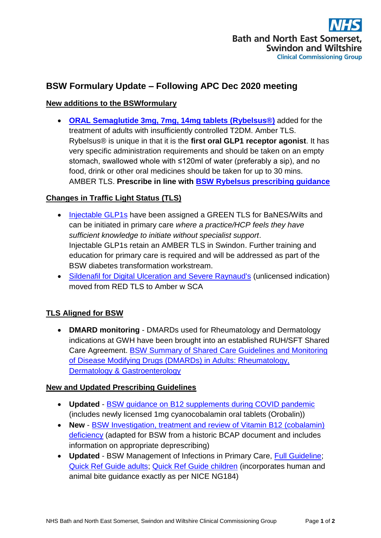

# **BSW Formulary Update – Following APC Dec 2020 meeting**

## **New additions to the BSWformulary**

 **[ORAL Semaglutide 3mg,](http://bswformulary.nhs.uk/chaptersSubDetails.asp?FormularySectionID=6&SubSectionRef=06.01.02.03&SubSectionID=D150&drugmatch=5667#5667) 7mg, 14mg tablets (Rybelsus®)** added for the treatment of adults with insufficiently controlled T2DM. Amber TLS. Rybelsus® is unique in that it is the **first oral GLP1 receptor agonist**. It has very specific administration requirements and should be taken on an empty stomach, swallowed whole with ≤120ml of water (preferably a sip), and no food, drink or other oral medicines should be taken for up to 30 mins. AMBER TLS. **Prescribe in line with [BSW Rybelsus prescribing guidance](https://prescribing.bswccg.nhs.uk/?wpdmdl=8363)**

## **Changes in Traffic Light Status (TLS)**

- [Injectable GLP1s](http://bswformulary.nhs.uk/chaptersSubDetails.asp?FormularySectionID=6&SubSectionRef=06.01.02.03&SubSectionID=D150&drugmatch=351#351) have been assigned a GREEN TLS for BaNES/Wilts and can be initiated in primary care *where a practice/HCP feels they have sufficient knowledge to initiate without specialist support*. Injectable GLP1s retain an AMBER TLS in Swindon. Further training and education for primary care is required and will be addressed as part of the BSW diabetes transformation workstream.
- [Sildenafil for Digital Ulceration and Severe Raynaud's](https://prescribing.bswccg.nhs.uk/?wpdmdl=8299) (unlicensed indication) moved from RED TLS to Amber w SCA

## **TLS Aligned for BSW**

 **DMARD monitoring** - DMARDs used for Rheumatology and Dermatology indications at GWH have been brought into an established RUH/SFT Shared Care Agreement. [BSW Summary of Shared Care Guidelines and Monitoring](https://prescribing.bswccg.nhs.uk/?wpdmdl=8285)  [of Disease Modifying Drugs \(DMARDs\) in Adults: Rheumatology,](https://prescribing.bswccg.nhs.uk/?wpdmdl=8285)  [Dermatology & Gastroenterology](https://prescribing.bswccg.nhs.uk/?wpdmdl=8285)

#### **New and Updated Prescribing Guidelines**

- **Updated** [BSW guidance on B12 supplements during COVID pandemic](https://prescribing.wiltshireccg.nhs.uk/?wpdmdl=7005&UNLID=3801932142020122493222) (includes newly licensed 1mg cyanocobalamin oral tablets (Orobalin))
- **New** [BSW Investigation, treatment and review of Vitamin B12 \(cobalamin\)](https://prescribing.bswccg.nhs.uk/?wpdmdl=6585)  [deficiency](https://prescribing.bswccg.nhs.uk/?wpdmdl=6585) (adapted for BSW from a historic BCAP document and includes information on appropriate deprescribing)
- **Updated** BSW Management of Infections in Primary Care, [Full Guideline;](https://prescribing.wiltshireccg.nhs.uk/?wpdmdl=6041) [Quick Ref Guide adults;](https://prescribing.wiltshireccg.nhs.uk/?wpdmdl=6043) [Quick Ref Guide children](https://prescribing.wiltshireccg.nhs.uk/?wpdmdl=6045) (incorporates human and animal bite guidance exactly as per NICE NG184)